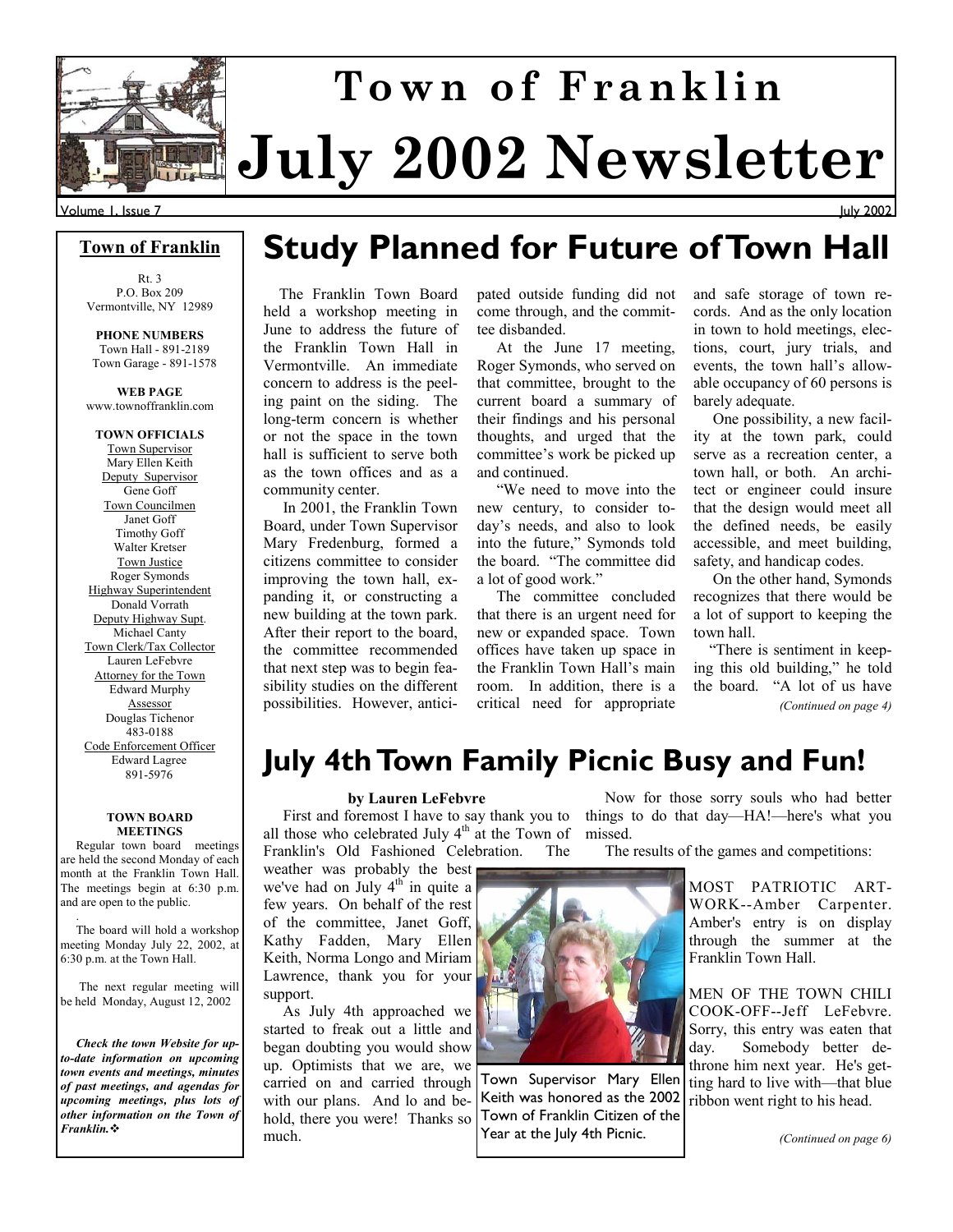

Volume 1, Issue 7

#### **Town of Franklin**

Rt. 3 P.O. Box 209 Vermontville, NY 12989

**PHONE NUMBERS**  Town Hall - 891-2189 Town Garage - 891-1578

**WEB PAGE**  www.townoffranklin.com

**TOWN OFFICIALS**  Town Supervisor Mary Ellen Keith Deputy Supervisor Gene Goff Town Councilmen Janet Goff Timothy Goff Walter Kretser Town Justice Roger Symonds Highway Superintendent Donald Vorrath Deputy Highway Supt. Michael Canty Town Clerk/Tax Collector Lauren LeFebvre Attorney for the Town Edward Murphy Assessor Douglas Tichenor 483-0188 Code Enforcement Officer Edward Lagree 891-5976

#### **TOWN BOARD MEETINGS**

 Regular town board meetings are held the second Monday of each month at the Franklin Town Hall. The meetings begin at 6:30 p.m. and are open to the public.

 . The board will hold a workshop meeting Monday July 22, 2002, at 6:30 p.m. at the Town Hall.

 The next regular meeting will be held Monday, August 12, 2002

 *Check the town Website for upto-date information on upcoming town events and meetings, minutes of past meetings, and agendas for upcoming meetings, plus lots of other information on the Town of Franklin.*

## **Study Planned for Future of Town Hall**

 The Franklin Town Board held a workshop meeting in June to address the future of the Franklin Town Hall in Vermontville. An immediate concern to address is the peeling paint on the siding. The long-term concern is whether or not the space in the town hall is sufficient to serve both as the town offices and as a community center.

 In 2001, the Franklin Town Board, under Town Supervisor Mary Fredenburg, formed a citizens committee to consider improving the town hall, expanding it, or constructing a new building at the town park. After their report to the board, the committee recommended that next step was to begin feasibility studies on the different possibilities. However, anticipated outside funding did not come through, and the committee disbanded.

 At the June 17 meeting, Roger Symonds, who served on that committee, brought to the current board a summary of their findings and his personal thoughts, and urged that the committee's work be picked up and continued.

 "We need to move into the new century, to consider today's needs, and also to look into the future," Symonds told the board. "The committee did a lot of good work."

 The committee concluded that there is an urgent need for new or expanded space. Town offices have taken up space in the Franklin Town Hall's main room. In addition, there is a critical need for appropriate and safe storage of town records. And as the only location in town to hold meetings, elections, court, jury trials, and events, the town hall's allowable occupancy of 60 persons is barely adequate.

July 2002

 One possibility, a new facility at the town park, could serve as a recreation center, a town hall, or both. An architect or engineer could insure that the design would meet all the defined needs, be easily accessible, and meet building, safety, and handicap codes.

 On the other hand, Symonds recognizes that there would be a lot of support to keeping the town hall.

 "There is sentiment in keeping this old building," he told the board. "A lot of us have *(Continued on page 4)* 

### **July 4th Town Family Picnic Busy and Fun!**

#### **by Lauren LeFebvre**

 First and foremost I have to say thank you to all those who celebrated July  $4<sup>th</sup>$  at the Town of Franklin's Old Fashioned Celebration. The

weather was probably the best we've had on July  $4<sup>th</sup>$  in quite a few years. On behalf of the rest of the committee, Janet Goff, Kathy Fadden, Mary Ellen Keith, Norma Longo and Miriam Lawrence, thank you for your support.

 As July 4th approached we started to freak out a little and began doubting you would show up. Optimists that we are, we carried on and carried through with our plans. And lo and behold, there you were! Thanks so much.

 Now for those sorry souls who had better things to do that day—HA!—here's what you missed.

The results of the games and competitions:

MOST PATRIOTIC ART-WORK--Amber Carpenter. Amber's entry is on display through the summer at the Franklin Town Hall.

MEN OF THE TOWN CHILI COOK-OFF--Jeff LeFebvre. Sorry, this entry was eaten that day. Somebody better dethrone him next year. He's getting hard to live with—that blue ribbon went right to his head.

*(Continued on page 6)* 



Keith was honored as the 2002 Town of Franklin Citizen of the Year at the July 4th Picnic.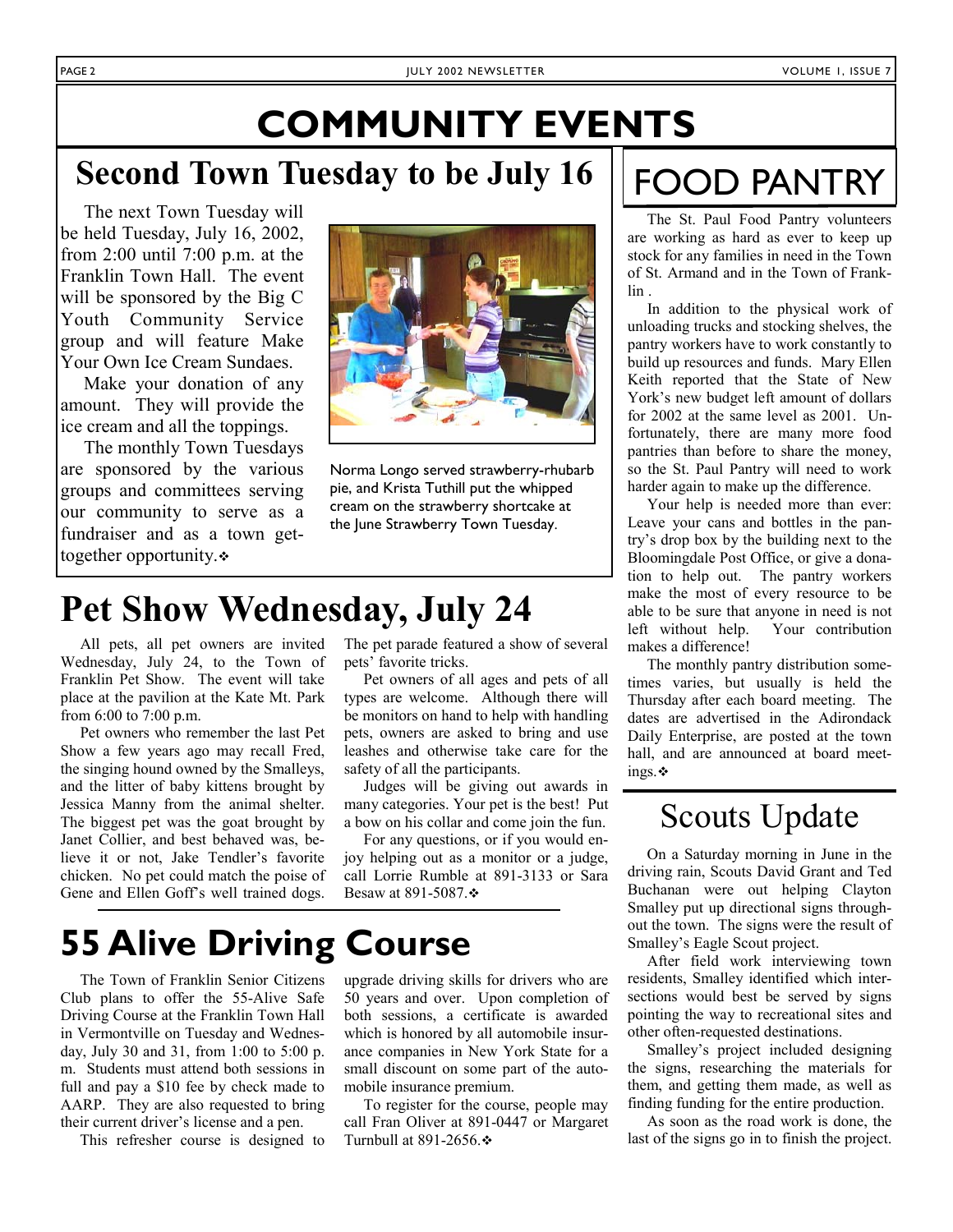# **COMMUNITY EVENTS**

### **Second Town Tuesday to be July 16**

 The next Town Tuesday will be held Tuesday, July 16, 2002, from 2:00 until 7:00 p.m. at the Franklin Town Hall. The event will be sponsored by the Big C Youth Community Service group and will feature Make Your Own Ice Cream Sundaes.

 Make your donation of any amount. They will provide the ice cream and all the toppings.

 The monthly Town Tuesdays are sponsored by the various groups and committees serving our community to serve as a fundraiser and as a town gettogether opportunity.



Norma Longo served strawberry-rhubarb pie, and Krista Tuthill put the whipped cream on the strawberry shortcake at the June Strawberry Town Tuesday.

## **Pet Show Wednesday, July 24**

 All pets, all pet owners are invited Wednesday, July 24, to the Town of Franklin Pet Show. The event will take place at the pavilion at the Kate Mt. Park from 6:00 to 7:00 p.m.

 Pet owners who remember the last Pet Show a few years ago may recall Fred, the singing hound owned by the Smalleys, and the litter of baby kittens brought by Jessica Manny from the animal shelter. The biggest pet was the goat brought by Janet Collier, and best behaved was, believe it or not, Jake Tendler's favorite chicken. No pet could match the poise of Gene and Ellen Goff's well trained dogs.

The pet parade featured a show of several pets' favorite tricks.

 Pet owners of all ages and pets of all types are welcome. Although there will be monitors on hand to help with handling pets, owners are asked to bring and use leashes and otherwise take care for the safety of all the participants.

 Judges will be giving out awards in many categories. Your pet is the best! Put a bow on his collar and come join the fun.

 For any questions, or if you would enjoy helping out as a monitor or a judge, call Lorrie Rumble at 891-3133 or Sara Besaw at 891-5087. ❖

## **55 Alive Driving Course**

 The Town of Franklin Senior Citizens Club plans to offer the 55-Alive Safe Driving Course at the Franklin Town Hall in Vermontville on Tuesday and Wednesday, July 30 and 31, from 1:00 to 5:00 p. m. Students must attend both sessions in full and pay a \$10 fee by check made to AARP. They are also requested to bring their current driver's license and a pen.

This refresher course is designed to

upgrade driving skills for drivers who are 50 years and over. Upon completion of both sessions, a certificate is awarded which is honored by all automobile insurance companies in New York State for a small discount on some part of the automobile insurance premium.

 To register for the course, people may call Fran Oliver at 891-0447 or Margaret Turnbull at 891-2656. $\div$ 

# FOOD PANTRY

 The St. Paul Food Pantry volunteers are working as hard as ever to keep up stock for any families in need in the Town of St. Armand and in the Town of Franklin .

 In addition to the physical work of unloading trucks and stocking shelves, the pantry workers have to work constantly to build up resources and funds. Mary Ellen Keith reported that the State of New York's new budget left amount of dollars for 2002 at the same level as 2001. Unfortunately, there are many more food pantries than before to share the money, so the St. Paul Pantry will need to work harder again to make up the difference.

 Your help is needed more than ever: Leave your cans and bottles in the pantry's drop box by the building next to the Bloomingdale Post Office, or give a donation to help out. The pantry workers make the most of every resource to be able to be sure that anyone in need is not left without help. Your contribution makes a difference!

 The monthly pantry distribution sometimes varies, but usually is held the Thursday after each board meeting. The dates are advertised in the Adirondack Daily Enterprise, are posted at the town hall, and are announced at board meetings.

### Scouts Update

 On a Saturday morning in June in the driving rain, Scouts David Grant and Ted Buchanan were out helping Clayton Smalley put up directional signs throughout the town. The signs were the result of Smalley's Eagle Scout project.

 After field work interviewing town residents, Smalley identified which intersections would best be served by signs pointing the way to recreational sites and other often-requested destinations.

 Smalley's project included designing the signs, researching the materials for them, and getting them made, as well as finding funding for the entire production.

 As soon as the road work is done, the last of the signs go in to finish the project.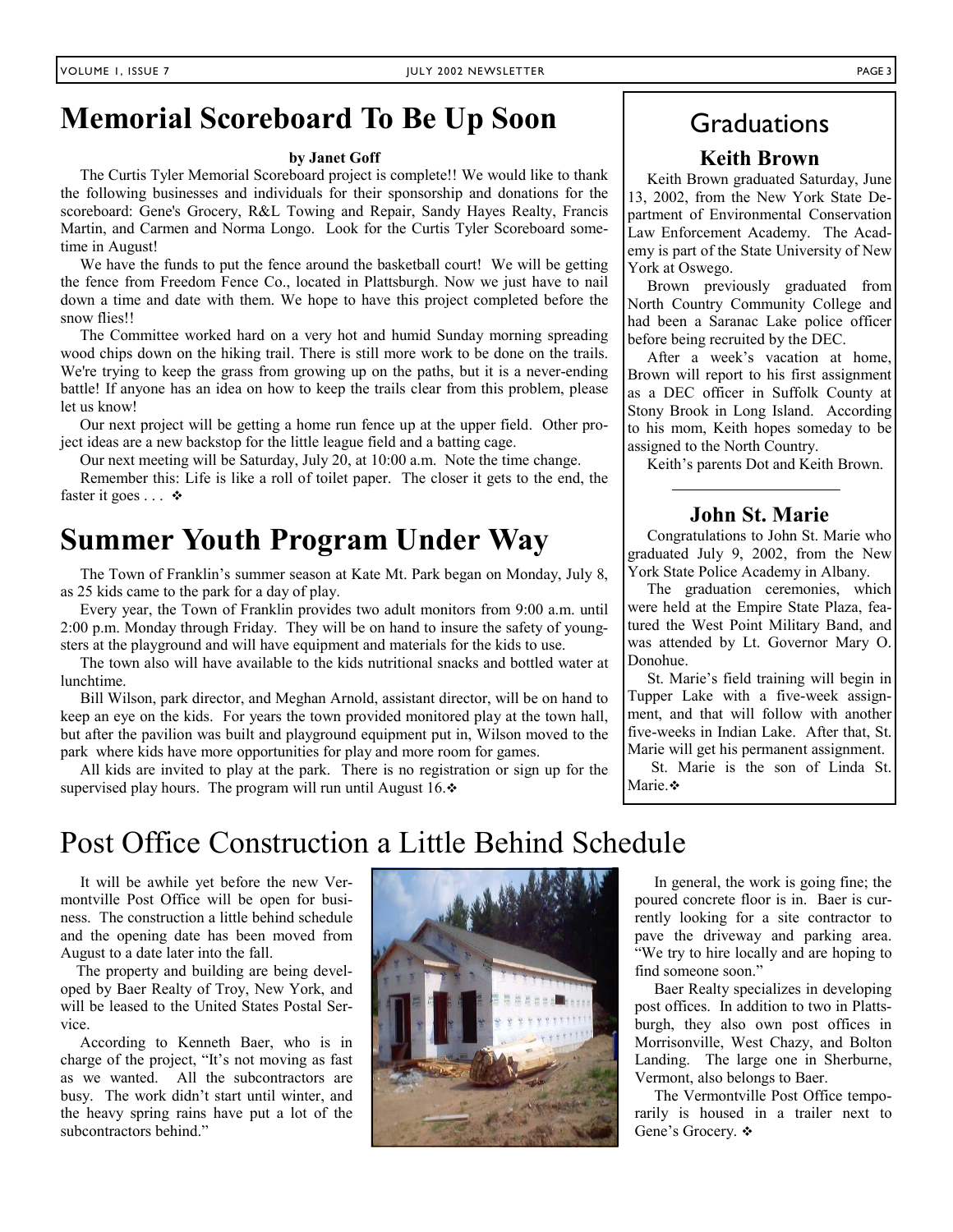### **Memorial Scoreboard To Be Up Soon | Graduations**

#### **by Janet Goff**

 The Curtis Tyler Memorial Scoreboard project is complete!! We would like to thank the following businesses and individuals for their sponsorship and donations for the scoreboard: Gene's Grocery, R&L Towing and Repair, Sandy Hayes Realty, Francis Martin, and Carmen and Norma Longo. Look for the Curtis Tyler Scoreboard sometime in August!

 We have the funds to put the fence around the basketball court! We will be getting the fence from Freedom Fence Co., located in Plattsburgh. Now we just have to nail down a time and date with them. We hope to have this project completed before the snow flies!!

 The Committee worked hard on a very hot and humid Sunday morning spreading wood chips down on the hiking trail. There is still more work to be done on the trails. We're trying to keep the grass from growing up on the paths, but it is a never-ending battle! If anyone has an idea on how to keep the trails clear from this problem, please let us know!

 Our next project will be getting a home run fence up at the upper field. Other project ideas are a new backstop for the little league field and a batting cage.

Our next meeting will be Saturday, July 20, at 10:00 a.m. Note the time change.

 Remember this: Life is like a roll of toilet paper. The closer it gets to the end, the faster it goes  $\ldots$   $\bullet$ 

### **Summer Youth Program Under Way**

 The Town of Franklin's summer season at Kate Mt. Park began on Monday, July 8, as 25 kids came to the park for a day of play.

 Every year, the Town of Franklin provides two adult monitors from 9:00 a.m. until 2:00 p.m. Monday through Friday. They will be on hand to insure the safety of youngsters at the playground and will have equipment and materials for the kids to use.

 The town also will have available to the kids nutritional snacks and bottled water at lunchtime.

 Bill Wilson, park director, and Meghan Arnold, assistant director, will be on hand to keep an eye on the kids. For years the town provided monitored play at the town hall, but after the pavilion was built and playground equipment put in, Wilson moved to the park where kids have more opportunities for play and more room for games.

 All kids are invited to play at the park. There is no registration or sign up for the supervised play hours. The program will run until August 16. $\div$ 

#### **Keith Brown**

 Keith Brown graduated Saturday, June 13, 2002, from the New York State Department of Environmental Conservation Law Enforcement Academy. The Academy is part of the State University of New York at Oswego.

 Brown previously graduated from North Country Community College and had been a Saranac Lake police officer before being recruited by the DEC.

 After a week's vacation at home, Brown will report to his first assignment as a DEC officer in Suffolk County at Stony Brook in Long Island. According to his mom, Keith hopes someday to be assigned to the North Country.

Keith's parents Dot and Keith Brown.

### **John St. Marie**

 Congratulations to John St. Marie who graduated July 9, 2002, from the New York State Police Academy in Albany.

 The graduation ceremonies, which were held at the Empire State Plaza, featured the West Point Military Band, and was attended by Lt. Governor Mary O. Donohue.

St. Marie's field training will begin in Tupper Lake with a five-week assignment, and that will follow with another five-weeks in Indian Lake. After that, St. Marie will get his permanent assignment.

 St. Marie is the son of Linda St. Marie.\*

### Post Office Construction a Little Behind Schedule

 It will be awhile yet before the new Vermontville Post Office will be open for business. The construction a little behind schedule and the opening date has been moved from August to a date later into the fall.

 The property and building are being developed by Baer Realty of Troy, New York, and will be leased to the United States Postal Service.

 According to Kenneth Baer, who is in charge of the project, "It's not moving as fast as we wanted. All the subcontractors are busy. The work didn't start until winter, and the heavy spring rains have put a lot of the subcontractors behind."



 In general, the work is going fine; the poured concrete floor is in. Baer is currently looking for a site contractor to pave the driveway and parking area. "We try to hire locally and are hoping to find someone soon."

 Baer Realty specializes in developing post offices. In addition to two in Plattsburgh, they also own post offices in Morrisonville, West Chazy, and Bolton Landing. The large one in Sherburne, Vermont, also belongs to Baer.

 The Vermontville Post Office temporarily is housed in a trailer next to Gene's Grocery. ❖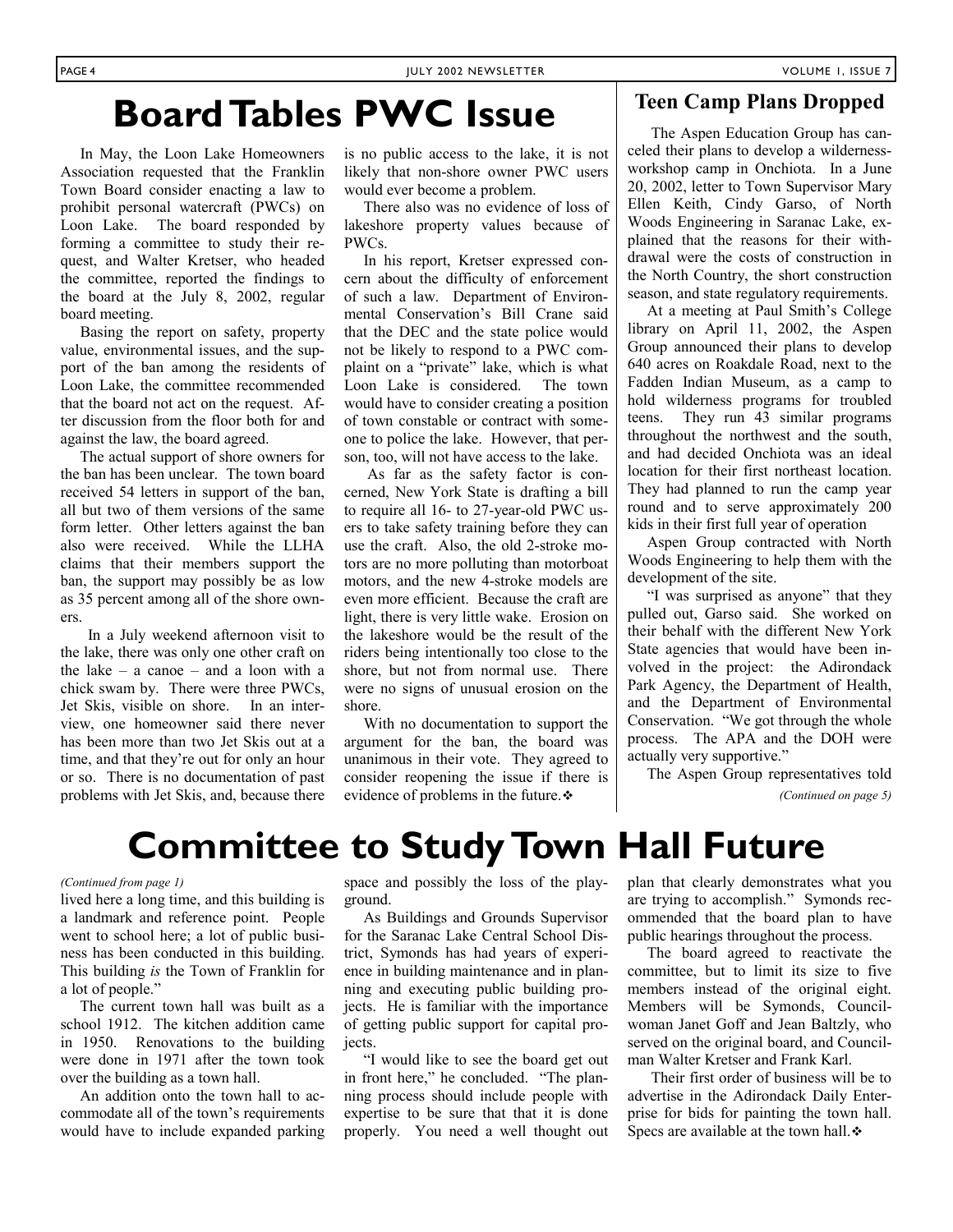## **Board Tables PWC Issue** The Aspen Education Group has can-

 In May, the Loon Lake Homeowners Association requested that the Franklin Town Board consider enacting a law to prohibit personal watercraft (PWCs) on Loon Lake. The board responded by forming a committee to study their request, and Walter Kretser, who headed the committee, reported the findings to the board at the July 8, 2002, regular board meeting.

 Basing the report on safety, property value, environmental issues, and the support of the ban among the residents of Loon Lake, the committee recommended that the board not act on the request. After discussion from the floor both for and against the law, the board agreed.

 The actual support of shore owners for the ban has been unclear. The town board received 54 letters in support of the ban, all but two of them versions of the same form letter. Other letters against the ban also were received. While the LLHA claims that their members support the ban, the support may possibly be as low as 35 percent among all of the shore owners.

 In a July weekend afternoon visit to the lake, there was only one other craft on the lake – a canoe – and a loon with a chick swam by. There were three PWCs, Jet Skis, visible on shore. In an interview, one homeowner said there never has been more than two Jet Skis out at a time, and that they're out for only an hour or so. There is no documentation of past problems with Jet Skis, and, because there is no public access to the lake, it is not likely that non-shore owner PWC users would ever become a problem.

 There also was no evidence of loss of lakeshore property values because of PWCs.

 In his report, Kretser expressed concern about the difficulty of enforcement of such a law. Department of Environmental Conservation's Bill Crane said that the DEC and the state police would not be likely to respond to a PWC complaint on a "private" lake, which is what Loon Lake is considered. The town would have to consider creating a position of town constable or contract with someone to police the lake. However, that person, too, will not have access to the lake.

 As far as the safety factor is concerned, New York State is drafting a bill to require all 16- to 27-year-old PWC users to take safety training before they can use the craft. Also, the old 2-stroke motors are no more polluting than motorboat motors, and the new 4-stroke models are even more efficient. Because the craft are light, there is very little wake. Erosion on the lakeshore would be the result of the riders being intentionally too close to the shore, but not from normal use. There were no signs of unusual erosion on the shore.

 With no documentation to support the argument for the ban, the board was unanimous in their vote. They agreed to consider reopening the issue if there is evidence of problems in the future.

### **Teen Camp Plans Dropped**

celed their plans to develop a wildernessworkshop camp in Onchiota. In a June 20, 2002, letter to Town Supervisor Mary Ellen Keith, Cindy Garso, of North Woods Engineering in Saranac Lake, explained that the reasons for their withdrawal were the costs of construction in the North Country, the short construction season, and state regulatory requirements.

 At a meeting at Paul Smith's College library on April 11, 2002, the Aspen Group announced their plans to develop 640 acres on Roakdale Road, next to the Fadden Indian Museum, as a camp to hold wilderness programs for troubled teens. They run 43 similar programs throughout the northwest and the south, and had decided Onchiota was an ideal location for their first northeast location. They had planned to run the camp year round and to serve approximately 200 kids in their first full year of operation

 Aspen Group contracted with North Woods Engineering to help them with the development of the site.

 "I was surprised as anyone" that they pulled out, Garso said. She worked on their behalf with the different New York State agencies that would have been involved in the project: the Adirondack Park Agency, the Department of Health, and the Department of Environmental Conservation. "We got through the whole process. The APA and the DOH were actually very supportive."

The Aspen Group representatives told

*(Continued on page 5)* 

## **Committee to Study Town Hall Future**

#### *(Continued from page 1)*

lived here a long time, and this building is a landmark and reference point. People went to school here; a lot of public business has been conducted in this building. This building *is* the Town of Franklin for a lot of people."

 The current town hall was built as a school 1912. The kitchen addition came in 1950. Renovations to the building were done in 1971 after the town took over the building as a town hall.

 An addition onto the town hall to accommodate all of the town's requirements would have to include expanded parking space and possibly the loss of the playground.

 As Buildings and Grounds Supervisor for the Saranac Lake Central School District, Symonds has had years of experience in building maintenance and in planning and executing public building projects. He is familiar with the importance of getting public support for capital projects.

 "I would like to see the board get out in front here," he concluded. "The planning process should include people with expertise to be sure that that it is done properly. You need a well thought out plan that clearly demonstrates what you are trying to accomplish." Symonds recommended that the board plan to have public hearings throughout the process.

 The board agreed to reactivate the committee, but to limit its size to five members instead of the original eight. Members will be Symonds, Councilwoman Janet Goff and Jean Baltzly, who served on the original board, and Councilman Walter Kretser and Frank Karl.

 Their first order of business will be to advertise in the Adirondack Daily Enterprise for bids for painting the town hall. Specs are available at the town hall. $\div$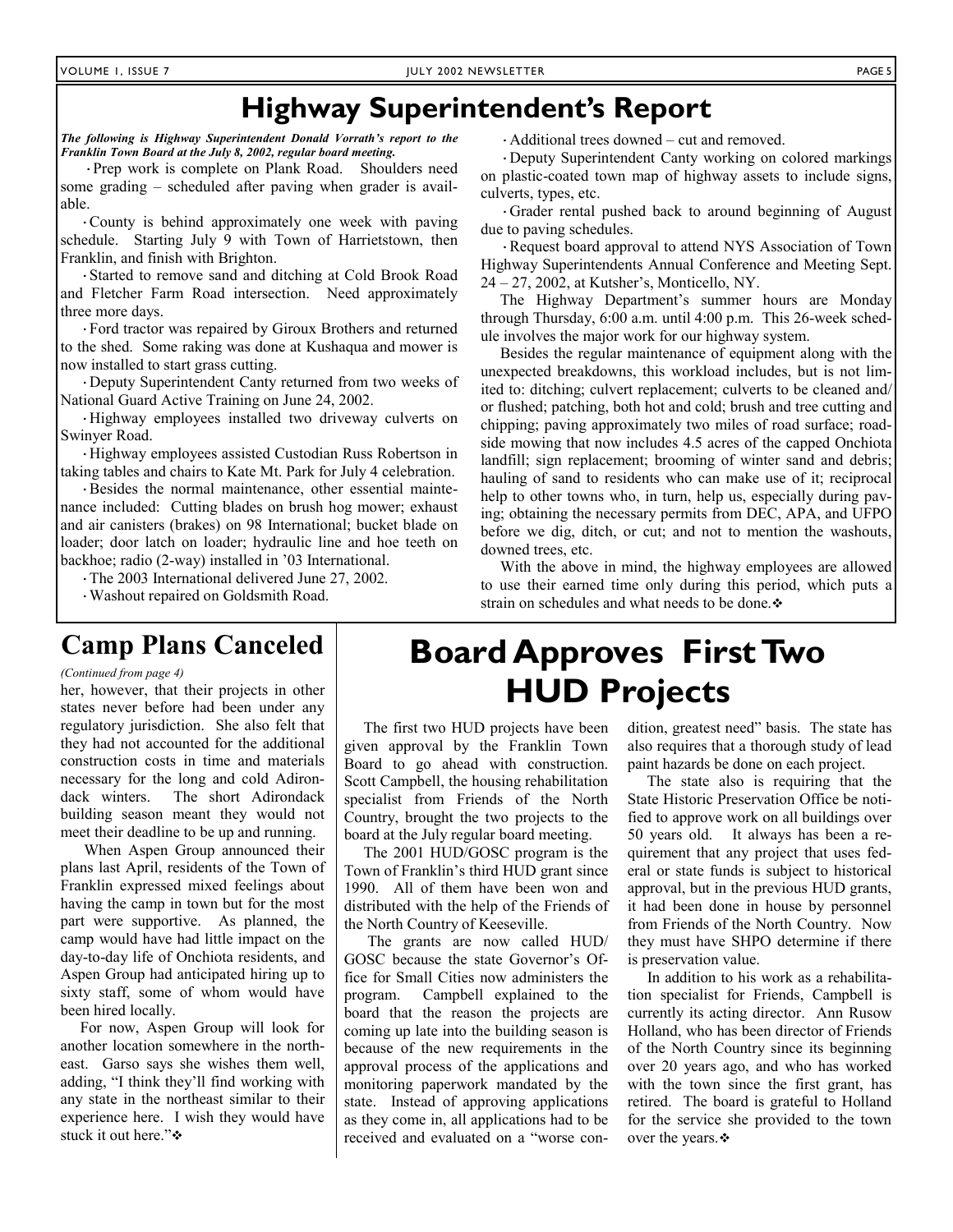### **Highway Superintendent's Report**

*The following is Highway Superintendent Donald Vorrath's report to the Franklin Town Board at the July 8, 2002, regular board meeting.* 

 ·Prep work is complete on Plank Road. Shoulders need some grading – scheduled after paving when grader is available.

 ·County is behind approximately one week with paving schedule. Starting July 9 with Town of Harrietstown, then Franklin, and finish with Brighton.

 ·Started to remove sand and ditching at Cold Brook Road and Fletcher Farm Road intersection. Need approximately three more days.

 ·Ford tractor was repaired by Giroux Brothers and returned to the shed. Some raking was done at Kushaqua and mower is now installed to start grass cutting.

 ·Deputy Superintendent Canty returned from two weeks of National Guard Active Training on June 24, 2002.

 ·Highway employees installed two driveway culverts on Swinyer Road.

 ·Highway employees assisted Custodian Russ Robertson in taking tables and chairs to Kate Mt. Park for July 4 celebration.

 ·Besides the normal maintenance, other essential maintenance included: Cutting blades on brush hog mower; exhaust and air canisters (brakes) on 98 International; bucket blade on loader; door latch on loader; hydraulic line and hoe teeth on backhoe; radio (2-way) installed in '03 International.

·The 2003 International delivered June 27, 2002.

·Washout repaired on Goldsmith Road.

·Additional trees downed – cut and removed.

 ·Deputy Superintendent Canty working on colored markings on plastic-coated town map of highway assets to include signs, culverts, types, etc.

 ·Grader rental pushed back to around beginning of August due to paving schedules.

 ·Request board approval to attend NYS Association of Town Highway Superintendents Annual Conference and Meeting Sept. 24 – 27, 2002, at Kutsher's, Monticello, NY.

 The Highway Department's summer hours are Monday through Thursday, 6:00 a.m. until 4:00 p.m. This 26-week schedule involves the major work for our highway system.

 Besides the regular maintenance of equipment along with the unexpected breakdowns, this workload includes, but is not limited to: ditching; culvert replacement; culverts to be cleaned and/ or flushed; patching, both hot and cold; brush and tree cutting and chipping; paving approximately two miles of road surface; roadside mowing that now includes 4.5 acres of the capped Onchiota landfill; sign replacement; brooming of winter sand and debris; hauling of sand to residents who can make use of it; reciprocal help to other towns who, in turn, help us, especially during paving; obtaining the necessary permits from DEC, APA, and UFPO before we dig, ditch, or cut; and not to mention the washouts, downed trees, etc.

 With the above in mind, the highway employees are allowed to use their earned time only during this period, which puts a strain on schedules and what needs to be done.

### **Camp Plans Canceled**

#### *(Continued from page 4)*

her, however, that their projects in other states never before had been under any regulatory jurisdiction. She also felt that they had not accounted for the additional construction costs in time and materials necessary for the long and cold Adirondack winters. The short Adirondack building season meant they would not meet their deadline to be up and running.

 When Aspen Group announced their plans last April, residents of the Town of Franklin expressed mixed feelings about having the camp in town but for the most part were supportive. As planned, the camp would have had little impact on the day-to-day life of Onchiota residents, and Aspen Group had anticipated hiring up to sixty staff, some of whom would have been hired locally.

 For now, Aspen Group will look for another location somewhere in the northeast. Garso says she wishes them well, adding, "I think they'll find working with any state in the northeast similar to their experience here. I wish they would have stuck it out here."

### **Board Approves First Two HUD Projects**

 The first two HUD projects have been given approval by the Franklin Town Board to go ahead with construction. Scott Campbell, the housing rehabilitation specialist from Friends of the North Country, brought the two projects to the board at the July regular board meeting.

 The 2001 HUD/GOSC program is the Town of Franklin's third HUD grant since 1990. All of them have been won and distributed with the help of the Friends of the North Country of Keeseville.

 The grants are now called HUD/ GOSC because the state Governor's Office for Small Cities now administers the program. Campbell explained to the board that the reason the projects are coming up late into the building season is because of the new requirements in the approval process of the applications and monitoring paperwork mandated by the state. Instead of approving applications as they come in, all applications had to be received and evaluated on a "worse condition, greatest need" basis. The state has also requires that a thorough study of lead paint hazards be done on each project.

 The state also is requiring that the State Historic Preservation Office be notified to approve work on all buildings over 50 years old. It always has been a requirement that any project that uses federal or state funds is subject to historical approval, but in the previous HUD grants, it had been done in house by personnel from Friends of the North Country. Now they must have SHPO determine if there is preservation value.

 In addition to his work as a rehabilitation specialist for Friends, Campbell is currently its acting director. Ann Rusow Holland, who has been director of Friends of the North Country since its beginning over 20 years ago, and who has worked with the town since the first grant, has retired. The board is grateful to Holland for the service she provided to the town over the years.